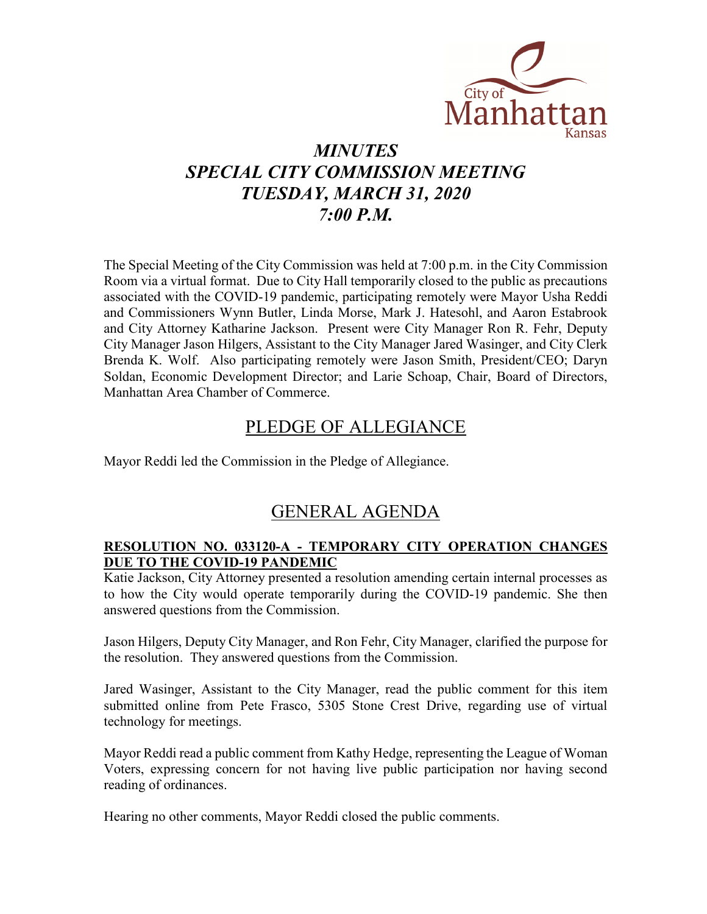

## *MINUTES SPECIAL CITY COMMISSION MEETING TUESDAY, MARCH 31, 2020 7:00 P.M.*

The Special Meeting of the City Commission was held at 7:00 p.m. in the City Commission Room via a virtual format. Due to City Hall temporarily closed to the public as precautions associated with the COVID-19 pandemic, participating remotely were Mayor Usha Reddi and Commissioners Wynn Butler, Linda Morse, Mark J. Hatesohl, and Aaron Estabrook and City Attorney Katharine Jackson. Present were City Manager Ron R. Fehr, Deputy City Manager Jason Hilgers, Assistant to the City Manager Jared Wasinger, and City Clerk Brenda K. Wolf. Also participating remotely were Jason Smith, President/CEO; Daryn Soldan, Economic Development Director; and Larie Schoap, Chair, Board of Directors, Manhattan Area Chamber of Commerce.

## PLEDGE OF ALLEGIANCE

Mayor Reddi led the Commission in the Pledge of Allegiance.

## GENERAL AGENDA

### **RESOLUTION NO. 033120-A - TEMPORARY CITY OPERATION CHANGES DUE TO THE COVID-19 PANDEMIC**

Katie Jackson, City Attorney presented a resolution amending certain internal processes as to how the City would operate temporarily during the COVID-19 pandemic. She then answered questions from the Commission.

Jason Hilgers, Deputy City Manager, and Ron Fehr, City Manager, clarified the purpose for the resolution. They answered questions from the Commission.

Jared Wasinger, Assistant to the City Manager, read the public comment for this item submitted online from Pete Frasco, 5305 Stone Crest Drive, regarding use of virtual technology for meetings.

Mayor Reddi read a public comment from Kathy Hedge, representing the League of Woman Voters, expressing concern for not having live public participation nor having second reading of ordinances.

Hearing no other comments, Mayor Reddi closed the public comments.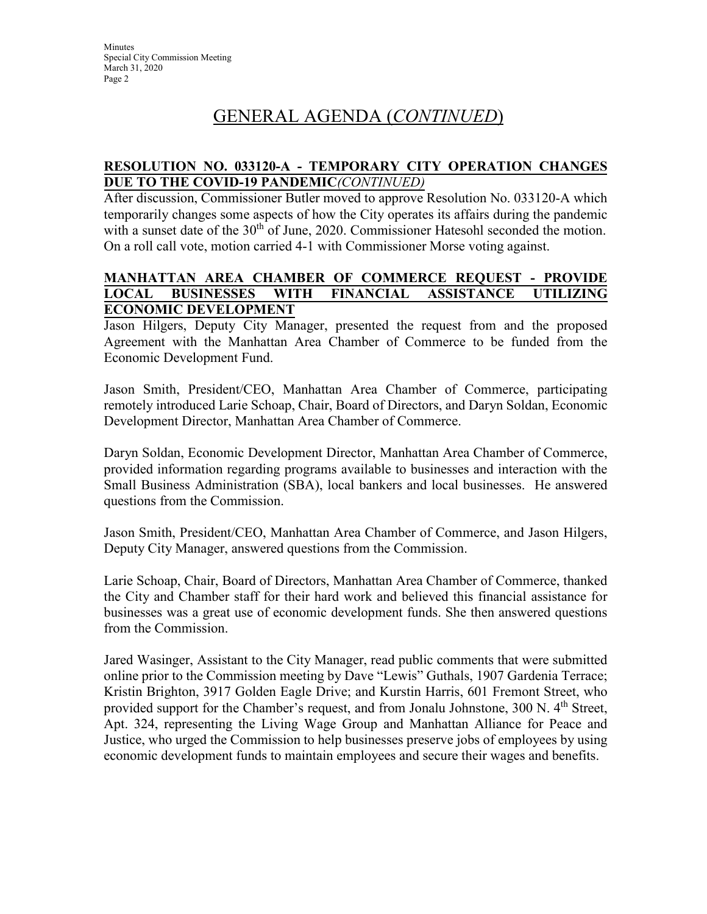# GENERAL AGENDA (*CONTINUED*)

### **RESOLUTION NO. 033120-A - TEMPORARY CITY OPERATION CHANGES DUE TO THE COVID-19 PANDEMIC***(CONTINUED)*

After discussion, Commissioner Butler moved to approve Resolution No. 033120-A which temporarily changes some aspects of how the City operates its affairs during the pandemic with a sunset date of the  $30<sup>th</sup>$  of June, 2020. Commissioner Hatesohl seconded the motion. On a roll call vote, motion carried 4-1 with Commissioner Morse voting against.

#### **MANHATTAN AREA CHAMBER OF COMMERCE REQUEST - PROVIDE LOCAL BUSINESSES WITH FINANCIAL ASSISTANCE UTILIZING ECONOMIC DEVELOPMENT**

Jason Hilgers, Deputy City Manager, presented the request from and the proposed Agreement with the Manhattan Area Chamber of Commerce to be funded from the Economic Development Fund.

Jason Smith, President/CEO, Manhattan Area Chamber of Commerce, participating remotely introduced Larie Schoap, Chair, Board of Directors, and Daryn Soldan, Economic Development Director, Manhattan Area Chamber of Commerce.

Daryn Soldan, Economic Development Director, Manhattan Area Chamber of Commerce, provided information regarding programs available to businesses and interaction with the Small Business Administration (SBA), local bankers and local businesses. He answered questions from the Commission.

Jason Smith, President/CEO, Manhattan Area Chamber of Commerce, and Jason Hilgers, Deputy City Manager, answered questions from the Commission.

Larie Schoap, Chair, Board of Directors, Manhattan Area Chamber of Commerce, thanked the City and Chamber staff for their hard work and believed this financial assistance for businesses was a great use of economic development funds. She then answered questions from the Commission.

Jared Wasinger, Assistant to the City Manager, read public comments that were submitted online prior to the Commission meeting by Dave "Lewis" Guthals, 1907 Gardenia Terrace; Kristin Brighton, 3917 Golden Eagle Drive; and Kurstin Harris, 601 Fremont Street, who provided support for the Chamber's request, and from Jonalu Johnstone, 300 N. 4<sup>th</sup> Street, Apt. 324, representing the Living Wage Group and Manhattan Alliance for Peace and Justice, who urged the Commission to help businesses preserve jobs of employees by using economic development funds to maintain employees and secure their wages and benefits.